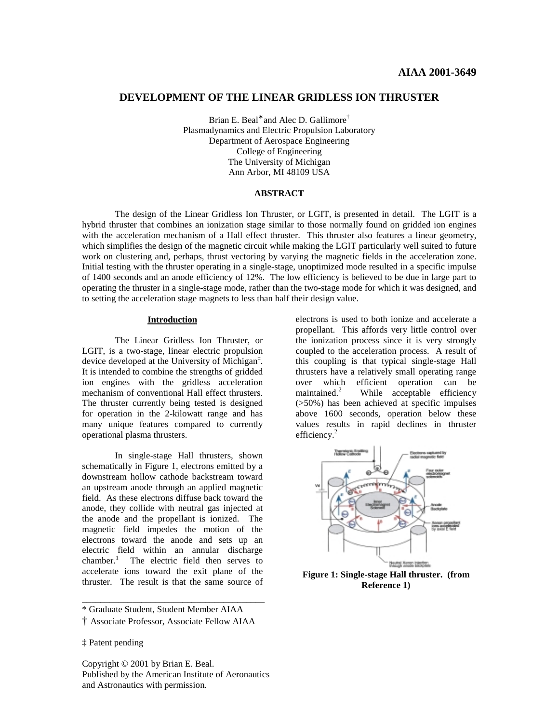# **DEVELOPMENT OF THE LINEAR GRIDLESS ION THRUSTER**

Brian E. Beal<sup>∗</sup> and Alec D. Gallimore<sup>†</sup> Plasmadynamics and Electric Propulsion Laboratory Department of Aerospace Engineering College of Engineering The University of Michigan Ann Arbor, MI 48109 USA

### **ABSTRACT**

 The design of the Linear Gridless Ion Thruster, or LGIT, is presented in detail. The LGIT is a hybrid thruster that combines an ionization stage similar to those normally found on gridded ion engines with the acceleration mechanism of a Hall effect thruster. This thruster also features a linear geometry, which simplifies the design of the magnetic circuit while making the LGIT particularly well suited to future work on clustering and, perhaps, thrust vectoring by varying the magnetic fields in the acceleration zone. Initial testing with the thruster operating in a single-stage, unoptimized mode resulted in a specific impulse of 1400 seconds and an anode efficiency of 12%. The low efficiency is believed to be due in large part to operating the thruster in a single-stage mode, rather than the two-stage mode for which it was designed, and to setting the acceleration stage magnets to less than half their design value.

#### **Introduction**

 The Linear Gridless Ion Thruster, or LGIT, is a two-stage, linear electric propulsion device developed at the University of Michigan‡ . It is intended to combine the strengths of gridded ion engines with the gridless acceleration mechanism of conventional Hall effect thrusters. The thruster currently being tested is designed for operation in the 2-kilowatt range and has many unique features compared to currently operational plasma thrusters.

 In single-stage Hall thrusters, shown schematically in Figure 1, electrons emitted by a downstream hollow cathode backstream toward an upstream anode through an applied magnetic field. As these electrons diffuse back toward the anode, they collide with neutral gas injected at the anode and the propellant is ionized. The magnetic field impedes the motion of the electrons toward the anode and sets up an electric field within an annular discharge chamber.<sup>1</sup> The electric field then serves to accelerate ions toward the exit plane of the thruster. The result is that the same source of

\* Graduate Student, Student Member AIAA

\_\_\_\_\_\_\_\_\_\_\_\_\_\_\_\_\_\_\_\_\_\_\_\_\_\_\_\_\_\_\_\_\_\_\_\_\_\_\_\_

‡ Patent pending

Copyright © 2001 by Brian E. Beal. Published by the American Institute of Aeronautics and Astronautics with permission.

electrons is used to both ionize and accelerate a propellant. This affords very little control over the ionization process since it is very strongly coupled to the acceleration process. A result of this coupling is that typical single-stage Hall thrusters have a relatively small operating range over which efficient operation can be maintained. $2$  While acceptable efficiency (>50%) has been achieved at specific impulses above 1600 seconds, operation below these values results in rapid declines in thruster efficiency. $2$ 



**Figure 1: Single-stage Hall thruster. (from Reference 1)** 

<sup>†</sup> Associate Professor, Associate Fellow AIAA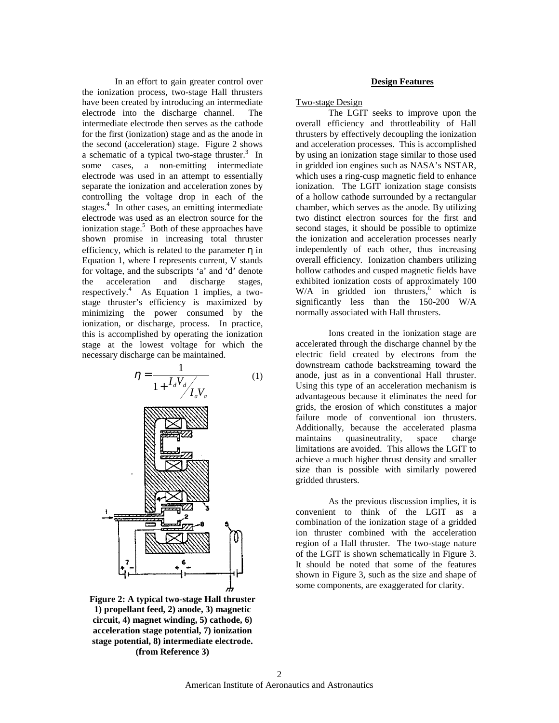In an effort to gain greater control over the ionization process, two-stage Hall thrusters have been created by introducing an intermediate electrode into the discharge channel. The intermediate electrode then serves as the cathode for the first (ionization) stage and as the anode in the second (acceleration) stage. Figure 2 shows a schematic of a typical two-stage thruster.<sup>3</sup> In some cases, a non-emitting intermediate electrode was used in an attempt to essentially separate the ionization and acceleration zones by controlling the voltage drop in each of the stages.<sup>4</sup> In other cases, an emitting intermediate electrode was used as an electron source for the ionization stage.<sup>5</sup> Both of these approaches have shown promise in increasing total thruster efficiency, which is related to the parameter  $\eta$  in Equation 1, where I represents current, V stands for voltage, and the subscripts 'a' and 'd' denote the acceleration and discharge stages, respectively.<sup>4</sup> As Equation 1 implies, a twostage thruster's efficiency is maximized by minimizing the power consumed by the ionization, or discharge, process. In practice, this is accomplished by operating the ionization stage at the lowest voltage for which the necessary discharge can be maintained.



**Figure 2: A typical two-stage Hall thruster 1) propellant feed, 2) anode, 3) magnetic circuit, 4) magnet winding, 5) cathode, 6) acceleration stage potential, 7) ionization stage potential, 8) intermediate electrode. (from Reference 3)** 

### **Design Features**

### Two-stage Design

The LGIT seeks to improve upon the overall efficiency and throttleability of Hall thrusters by effectively decoupling the ionization and acceleration processes. This is accomplished by using an ionization stage similar to those used in gridded ion engines such as NASA's NSTAR, which uses a ring-cusp magnetic field to enhance ionization. The LGIT ionization stage consists of a hollow cathode surrounded by a rectangular chamber, which serves as the anode. By utilizing two distinct electron sources for the first and second stages, it should be possible to optimize the ionization and acceleration processes nearly independently of each other, thus increasing overall efficiency. Ionization chambers utilizing hollow cathodes and cusped magnetic fields have exhibited ionization costs of approximately 100  $W/A$  in gridded ion thrusters,<sup>6</sup> which is significantly less than the 150-200 W/A normally associated with Hall thrusters.

Ions created in the ionization stage are accelerated through the discharge channel by the electric field created by electrons from the downstream cathode backstreaming toward the anode, just as in a conventional Hall thruster. Using this type of an acceleration mechanism is advantageous because it eliminates the need for grids, the erosion of which constitutes a major failure mode of conventional ion thrusters. Additionally, because the accelerated plasma maintains quasineutrality, space charge limitations are avoided. This allows the LGIT to achieve a much higher thrust density and smaller size than is possible with similarly powered gridded thrusters.

As the previous discussion implies, it is convenient to think of the LGIT as a combination of the ionization stage of a gridded ion thruster combined with the acceleration region of a Hall thruster. The two-stage nature of the LGIT is shown schematically in Figure 3. It should be noted that some of the features shown in Figure 3, such as the size and shape of some components, are exaggerated for clarity.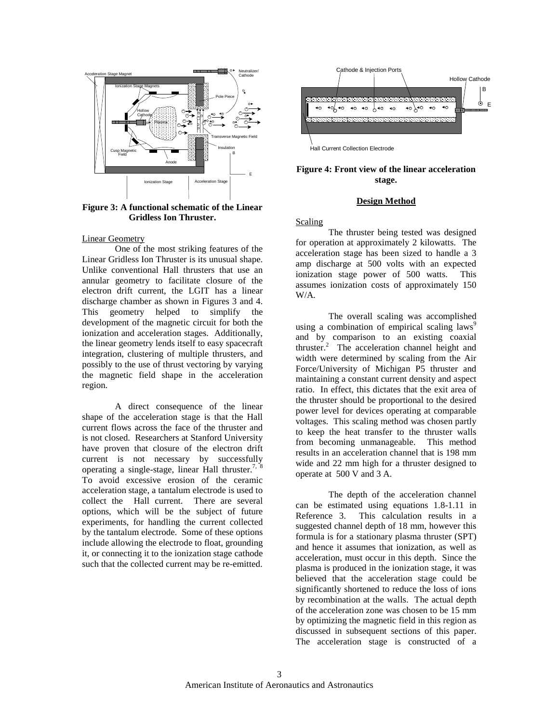

**Figure 3: A functional schematic of the Linear Gridless Ion Thruster.**

#### Linear Geometry

 One of the most striking features of the Linear Gridless Ion Thruster is its unusual shape. Unlike conventional Hall thrusters that use an annular geometry to facilitate closure of the electron drift current, the LGIT has a linear discharge chamber as shown in Figures 3 and 4. This geometry helped to simplify the development of the magnetic circuit for both the ionization and acceleration stages. Additionally, the linear geometry lends itself to easy spacecraft integration, clustering of multiple thrusters, and possibly to the use of thrust vectoring by varying the magnetic field shape in the acceleration region.

A direct consequence of the linear shape of the acceleration stage is that the Hall current flows across the face of the thruster and is not closed. Researchers at Stanford University have proven that closure of the electron drift current is not necessary by successfully operating a single-stage, linear Hall thruster.<sup>7, 8</sup> To avoid excessive erosion of the ceramic acceleration stage, a tantalum electrode is used to collect the Hall current. There are several options, which will be the subject of future experiments, for handling the current collected by the tantalum electrode. Some of these options include allowing the electrode to float, grounding it, or connecting it to the ionization stage cathode such that the collected current may be re-emitted.



### **Figure 4: Front view of the linear acceleration stage.**

### **Design Method**

#### Scaling

 The thruster being tested was designed for operation at approximately 2 kilowatts. The acceleration stage has been sized to handle a 3 amp discharge at 500 volts with an expected ionization stage power of 500 watts. This assumes ionization costs of approximately 150 W/A.

The overall scaling was accomplished using a combination of empirical scaling laws<sup>9</sup> and by comparison to an existing coaxial thruster.<sup>2</sup> The acceleration channel height and width were determined by scaling from the Air Force/University of Michigan P5 thruster and maintaining a constant current density and aspect ratio. In effect, this dictates that the exit area of the thruster should be proportional to the desired power level for devices operating at comparable voltages. This scaling method was chosen partly to keep the heat transfer to the thruster walls from becoming unmanageable. This method results in an acceleration channel that is 198 mm wide and 22 mm high for a thruster designed to operate at 500 V and 3 A.

The depth of the acceleration channel can be estimated using equations 1.8-1.11 in Reference 3. This calculation results in a suggested channel depth of 18 mm, however this formula is for a stationary plasma thruster (SPT) and hence it assumes that ionization, as well as acceleration, must occur in this depth. Since the plasma is produced in the ionization stage, it was believed that the acceleration stage could be significantly shortened to reduce the loss of ions by recombination at the walls. The actual depth of the acceleration zone was chosen to be 15 mm by optimizing the magnetic field in this region as discussed in subsequent sections of this paper. The acceleration stage is constructed of a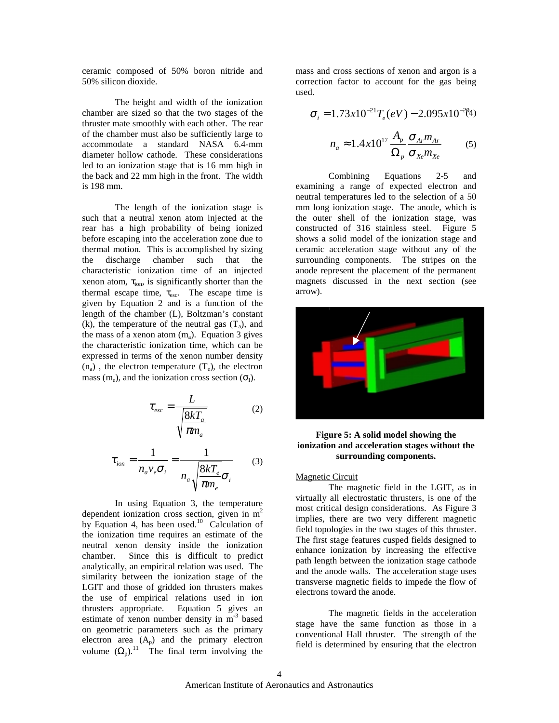ceramic composed of 50% boron nitride and 50% silicon dioxide.

The height and width of the ionization chamber are sized so that the two stages of the thruster mate smoothly with each other. The rear of the chamber must also be sufficiently large to accommodate a standard NASA 6.4-mm diameter hollow cathode. These considerations led to an ionization stage that is 16 mm high in the back and 22 mm high in the front. The width is 198 mm.

The length of the ionization stage is such that a neutral xenon atom injected at the rear has a high probability of being ionized before escaping into the acceleration zone due to thermal motion. This is accomplished by sizing the discharge chamber such that the characteristic ionization time of an injected xenon atom,  $\tau_{ion}$ , is significantly shorter than the thermal escape time,  $\tau_{\text{esc}}$ . The escape time is given by Equation 2 and is a function of the length of the chamber (L), Boltzman's constant (k), the temperature of the neutral gas  $(T_a)$ , and the mass of a xenon atom  $(m_a)$ . Equation 3 gives the characteristic ionization time, which can be expressed in terms of the xenon number density  $(n_a)$ , the electron temperature  $(T_e)$ , the electron mass (m<sub>e</sub>), and the ionization cross section ( $\sigma_{\rm I}$ ).

$$
\tau_{esc} = \frac{L}{\sqrt{\frac{8kT_a}{\pi m_a}}}
$$
(2)

$$
\tau_{ion} = \frac{1}{n_a v_e \sigma_i} = \frac{1}{n_a \sqrt{\frac{8kT_e}{\pi m_e}} \sigma_i}
$$
(3)

In using Equation 3, the temperature dependent ionization cross section, given in  $m<sup>2</sup>$ by Equation 4, has been used.<sup>10</sup> Calculation of the ionization time requires an estimate of the neutral xenon density inside the ionization chamber. Since this is difficult to predict analytically, an empirical relation was used. The similarity between the ionization stage of the LGIT and those of gridded ion thrusters makes the use of empirical relations used in ion thrusters appropriate. Equation 5 gives an estimate of xenon number density in  $m<sup>-3</sup>$  based on geometric parameters such as the primary electron area  $(A_p)$  and the primary electron volume  $(\Omega_p)$ .<sup>11</sup> The final term involving the mass and cross sections of xenon and argon is a correction factor to account for the gas being used.

$$
\sigma_i = 1.73x10^{-21}T_e(eV) - 2.095x10^{-2}(4)
$$

$$
n_a \approx 1.4x10^{17} \frac{A_p}{\Omega_p} \frac{\sigma_{Ar} m_{Ar}}{\sigma_{xe} m_{xe}} \tag{5}
$$

Combining Equations 2-5 and examining a range of expected electron and neutral temperatures led to the selection of a 50 mm long ionization stage. The anode, which is the outer shell of the ionization stage, was constructed of 316 stainless steel. Figure 5 shows a solid model of the ionization stage and ceramic acceleration stage without any of the surrounding components. The stripes on the anode represent the placement of the permanent magnets discussed in the next section (see arrow).



# **Figure 5: A solid model showing the ionization and acceleration stages without the surrounding components.**

# Magnetic Circuit

 The magnetic field in the LGIT, as in virtually all electrostatic thrusters, is one of the most critical design considerations. As Figure 3 implies, there are two very different magnetic field topologies in the two stages of this thruster. The first stage features cusped fields designed to enhance ionization by increasing the effective path length between the ionization stage cathode and the anode walls. The acceleration stage uses transverse magnetic fields to impede the flow of electrons toward the anode.

 The magnetic fields in the acceleration stage have the same function as those in a conventional Hall thruster. The strength of the field is determined by ensuring that the electron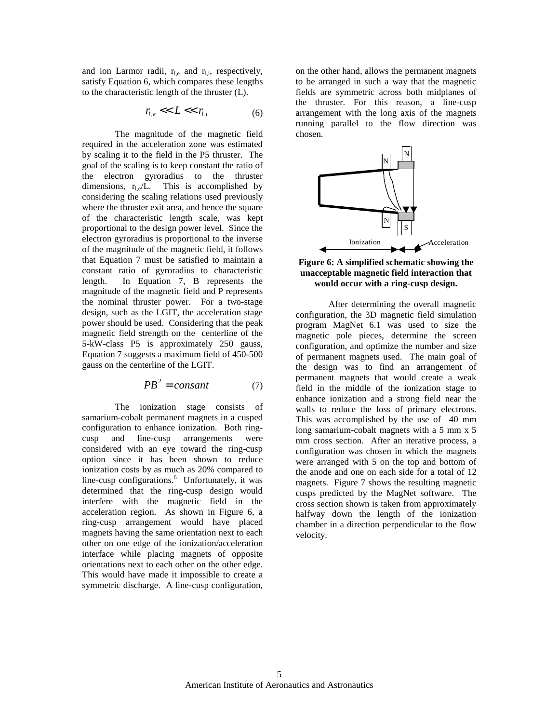and ion Larmor radii,  $r_{\text{Le}}$  and  $r_{\text{Li}}$ , respectively, satisfy Equation 6, which compares these lengths to the characteristic length of the thruster (L).

$$
r_{l,e} \ll L \ll r_{l,i} \tag{6}
$$

 The magnitude of the magnetic field required in the acceleration zone was estimated by scaling it to the field in the P5 thruster. The goal of the scaling is to keep constant the ratio of the electron gyroradius to the thruster dimensions,  $r_{\text{Lg}}/L$ . This is accomplished by considering the scaling relations used previously where the thruster exit area, and hence the square of the characteristic length scale, was kept proportional to the design power level. Since the electron gyroradius is proportional to the inverse of the magnitude of the magnetic field, it follows that Equation 7 must be satisfied to maintain a constant ratio of gyroradius to characteristic length. In Equation 7, B represents the magnitude of the magnetic field and P represents the nominal thruster power. For a two-stage design, such as the LGIT, the acceleration stage power should be used. Considering that the peak magnetic field strength on the centerline of the 5-kW-class P5 is approximately 250 gauss, Equation 7 suggests a maximum field of 450-500 gauss on the centerline of the LGIT.

$$
PB^2 = constant \tag{7}
$$

 The ionization stage consists of samarium-cobalt permanent magnets in a cusped configuration to enhance ionization. Both ringcusp and line-cusp arrangements were considered with an eye toward the ring-cusp option since it has been shown to reduce ionization costs by as much as 20% compared to line-cusp configurations.<sup>6</sup> Unfortunately, it was determined that the ring-cusp design would interfere with the magnetic field in the acceleration region. As shown in Figure 6, a ring-cusp arrangement would have placed magnets having the same orientation next to each other on one edge of the ionization/acceleration interface while placing magnets of opposite orientations next to each other on the other edge. This would have made it impossible to create a symmetric discharge. A line-cusp configuration,

on the other hand, allows the permanent magnets to be arranged in such a way that the magnetic fields are symmetric across both midplanes of the thruster. For this reason, a line-cusp arrangement with the long axis of the magnets running parallel to the flow direction was chosen.



**Figure 6: A simplified schematic showing the unacceptable magnetic field interaction that would occur with a ring-cusp design.** 

After determining the overall magnetic configuration, the 3D magnetic field simulation program MagNet 6.1 was used to size the magnetic pole pieces, determine the screen configuration, and optimize the number and size of permanent magnets used. The main goal of the design was to find an arrangement of permanent magnets that would create a weak field in the middle of the ionization stage to enhance ionization and a strong field near the walls to reduce the loss of primary electrons. This was accomplished by the use of 40 mm long samarium-cobalt magnets with a 5 mm x 5 mm cross section. After an iterative process, a configuration was chosen in which the magnets were arranged with 5 on the top and bottom of the anode and one on each side for a total of 12 magnets. Figure 7 shows the resulting magnetic cusps predicted by the MagNet software. The cross section shown is taken from approximately halfway down the length of the ionization chamber in a direction perpendicular to the flow velocity.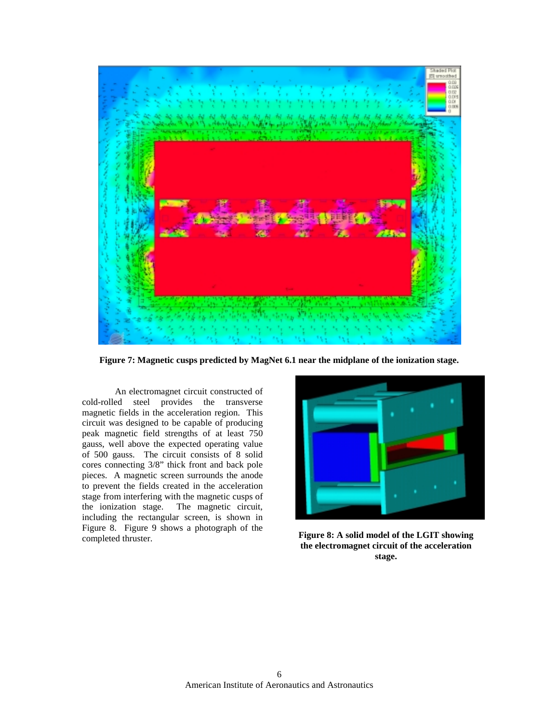

**Figure 7: Magnetic cusps predicted by MagNet 6.1 near the midplane of the ionization stage.** 

An electromagnet circuit constructed of cold-rolled steel provides the transverse magnetic fields in the acceleration region. This circuit was designed to be capable of producing peak magnetic field strengths of at least 750 gauss, well above the expected operating value of 500 gauss. The circuit consists of 8 solid cores connecting 3/8" thick front and back pole pieces. A magnetic screen surrounds the anode to prevent the fields created in the acceleration stage from interfering with the magnetic cusps of the ionization stage. The magnetic circuit, including the rectangular screen, is shown in Figure 8. Figure 9 shows a photograph of the Figure 8: A solid model of the LGIT showing completed thruster.



**the electromagnet circuit of the acceleration stage.**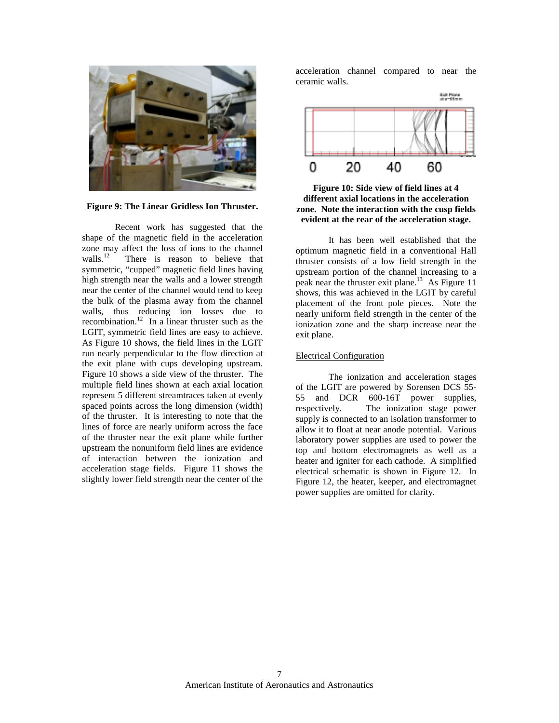

**Figure 9: The Linear Gridless Ion Thruster.** 

 Recent work has suggested that the shape of the magnetic field in the acceleration zone may affect the loss of ions to the channel<br>walls  $\frac{12}{12}$  There is reason to believe that There is reason to believe that symmetric, "cupped" magnetic field lines having high strength near the walls and a lower strength near the center of the channel would tend to keep the bulk of the plasma away from the channel walls, thus reducing ion losses due to recombination.<sup>12</sup> In a linear thruster such as the LGIT, symmetric field lines are easy to achieve. As Figure 10 shows, the field lines in the LGIT run nearly perpendicular to the flow direction at the exit plane with cups developing upstream. Figure 10 shows a side view of the thruster. The multiple field lines shown at each axial location represent 5 different streamtraces taken at evenly spaced points across the long dimension (width) of the thruster. It is interesting to note that the lines of force are nearly uniform across the face of the thruster near the exit plane while further upstream the nonuniform field lines are evidence of interaction between the ionization and acceleration stage fields. Figure 11 shows the slightly lower field strength near the center of the

acceleration channel compared to near the ceramic walls.





It has been well established that the optimum magnetic field in a conventional Hall thruster consists of a low field strength in the upstream portion of the channel increasing to a peak near the thruster exit plane.<sup>13</sup> As Figure 11 shows, this was achieved in the LGIT by careful placement of the front pole pieces. Note the nearly uniform field strength in the center of the ionization zone and the sharp increase near the exit plane.

# Electrical Configuration

 The ionization and acceleration stages of the LGIT are powered by Sorensen DCS 55- 55 and DCR 600-16T power supplies, respectively. The ionization stage power supply is connected to an isolation transformer to allow it to float at near anode potential. Various laboratory power supplies are used to power the top and bottom electromagnets as well as a heater and igniter for each cathode. A simplified electrical schematic is shown in Figure 12. In Figure 12, the heater, keeper, and electromagnet power supplies are omitted for clarity.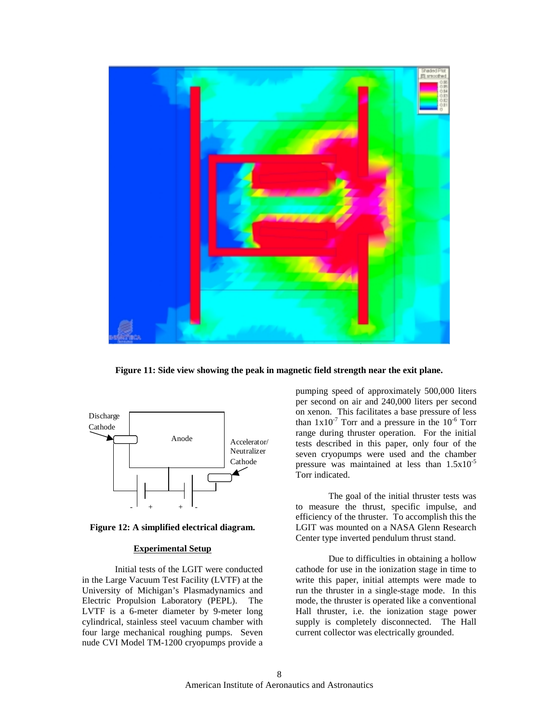

**Figure 11: Side view showing the peak in magnetic field strength near the exit plane.**



**Figure 12: A simplified electrical diagram.** 

# **Experimental Setup**

 Initial tests of the LGIT were conducted in the Large Vacuum Test Facility (LVTF) at the University of Michigan's Plasmadynamics and Electric Propulsion Laboratory (PEPL). The LVTF is a 6-meter diameter by 9-meter long cylindrical, stainless steel vacuum chamber with four large mechanical roughing pumps. Seven nude CVI Model TM-1200 cryopumps provide a

pumping speed of approximately 500,000 liters per second on air and 240,000 liters per second on xenon. This facilitates a base pressure of less than  $1x10^{-7}$  Torr and a pressure in the  $10^{-6}$  Torr range during thruster operation. For the initial tests described in this paper, only four of the seven cryopumps were used and the chamber pressure was maintained at less than  $1.5x10^{-5}$ Torr indicated.

 The goal of the initial thruster tests was to measure the thrust, specific impulse, and efficiency of the thruster. To accomplish this the LGIT was mounted on a NASA Glenn Research Center type inverted pendulum thrust stand.

 Due to difficulties in obtaining a hollow cathode for use in the ionization stage in time to write this paper, initial attempts were made to run the thruster in a single-stage mode. In this mode, the thruster is operated like a conventional Hall thruster, i.e. the ionization stage power supply is completely disconnected. The Hall current collector was electrically grounded.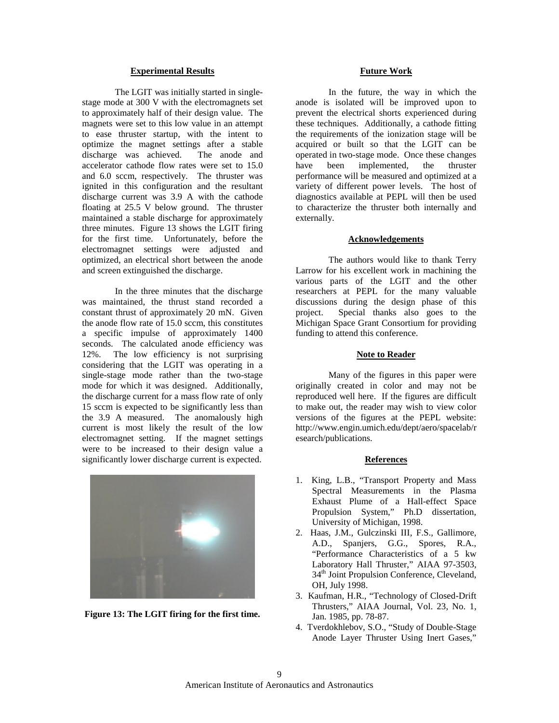### **Experimental Results**

 The LGIT was initially started in singlestage mode at 300 V with the electromagnets set to approximately half of their design value. The magnets were set to this low value in an attempt to ease thruster startup, with the intent to optimize the magnet settings after a stable discharge was achieved. The anode and accelerator cathode flow rates were set to 15.0 and 6.0 sccm, respectively. The thruster was ignited in this configuration and the resultant discharge current was 3.9 A with the cathode floating at 25.5 V below ground. The thruster maintained a stable discharge for approximately three minutes. Figure 13 shows the LGIT firing for the first time. Unfortunately, before the electromagnet settings were adjusted and optimized, an electrical short between the anode and screen extinguished the discharge.

In the three minutes that the discharge was maintained, the thrust stand recorded a constant thrust of approximately 20 mN. Given the anode flow rate of 15.0 sccm, this constitutes a specific impulse of approximately 1400 seconds. The calculated anode efficiency was 12%. The low efficiency is not surprising considering that the LGIT was operating in a single-stage mode rather than the two-stage mode for which it was designed. Additionally, the discharge current for a mass flow rate of only 15 sccm is expected to be significantly less than the 3.9 A measured. The anomalously high current is most likely the result of the low electromagnet setting. If the magnet settings were to be increased to their design value a significantly lower discharge current is expected.



**Figure 13: The LGIT firing for the first time.**

# **Future Work**

 In the future, the way in which the anode is isolated will be improved upon to prevent the electrical shorts experienced during these techniques. Additionally, a cathode fitting the requirements of the ionization stage will be acquired or built so that the LGIT can be operated in two-stage mode. Once these changes have been implemented, the thruster performance will be measured and optimized at a variety of different power levels. The host of diagnostics available at PEPL will then be used to characterize the thruster both internally and externally.

#### **Acknowledgements**

 The authors would like to thank Terry Larrow for his excellent work in machining the various parts of the LGIT and the other researchers at PEPL for the many valuable discussions during the design phase of this project. Special thanks also goes to the Michigan Space Grant Consortium for providing funding to attend this conference.

#### **Note to Reader**

 Many of the figures in this paper were originally created in color and may not be reproduced well here. If the figures are difficult to make out, the reader may wish to view color versions of the figures at the PEPL website: http://www.engin.umich.edu/dept/aero/spacelab/r esearch/publications.

#### **References**

- 1. King, L.B., "Transport Property and Mass Spectral Measurements in the Plasma Exhaust Plume of a Hall-effect Space Propulsion System," Ph.D dissertation, University of Michigan, 1998.
- 2. Haas, J.M., Gulczinski III, F.S., Gallimore, A.D., Spanjers, G.G., Spores, R.A., "Performance Characteristics of a 5 kw Laboratory Hall Thruster," AIAA 97-3503, 34<sup>th</sup> Joint Propulsion Conference, Cleveland, OH, July 1998.
- 3. Kaufman, H.R., "Technology of Closed-Drift Thrusters," AIAA Journal, Vol. 23, No. 1, Jan. 1985, pp. 78-87.
- 4. Tverdokhlebov, S.O., "Study of Double-Stage Anode Layer Thruster Using Inert Gases,"